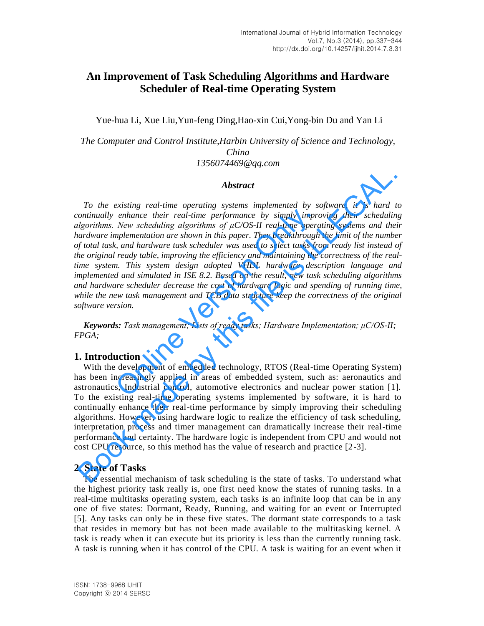# **An Improvement of Task Scheduling Algorithms and Hardware Scheduler of Real-time Operating System**

Yue-hua Li, Xue Liu,Yun-feng Ding,Hao-xin Cui,Yong-bin Du and Yan Li

*The Computer and Control Institute,Harbin University of Science and Technology, China 1356074469@qq.com*

#### *Abstract*

*To the existing real-time operating systems implemented by software, it is hard to continually enhance their real-time performance by simply improving their scheduling algorithms. New scheduling algorithms of μC/OS-II real-time operating systems and their hardware implementation are shown in this paper. They breakthrough the limit of the number of total task, and hardware task scheduler was used to select tasks from ready list instead of the original ready table, improving the efficiency and maintaining the correctness of the realtime system. This system design adopted VHDL hardware description language and implemented and simulated in ISE 8.2. Based on the result, new task scheduling algorithms and hardware scheduler decrease the cost of hardware logic and spending of running time, while the new task management and TCB data structure keep the correctness of the original software version. enhance their real-time performance by simply improses enhance their real-time performance by simply improses Needuling algorithms of*  $\mu$ *C/OS-II real-time operanglementation are shown in this paper. They breakthrough, a* **Abstract**<br>**Abstract**<br>**Abstract**<br>**Computery** To the existing real-time operating systems implemented by software, it is hard to<br>ntinually enhance their real-time performance by simply improving their scheduling<br>digorithms

*Keywords: Task management; Lists of ready tasks; Hardware Implementation; μC/OS-II; FPGA;* 

# **1. Introduction**

With the development of embedded technology, RTOS (Real-time Operating System) has been increasingly applied in areas of embedded system, such as: aeronautics and astronautics, Industrial control, automotive electronics and nuclear power station [1]. To the existing real-time operating systems implemented by software, it is hard to continually enhance their real-time performance by simply improving their scheduling algorithms. However, using hardware logic to realize the efficiency of task scheduling, interpretation process and timer management can dramatically increase their real-time performance and certainty. The hardware logic is independent from CPU and would not cost CPU resource, so this method has the value of research and practice [2-3].

### **2. State of Tasks**

The essential mechanism of task scheduling is the state of tasks. To understand what the highest priority task really is, one first need know the states of running tasks. In a real-time multitasks operating system, each tasks is an infinite loop that can be in any one of five states: Dormant, Ready, Running, and waiting for an event or Interrupted [5]. Any tasks can only be in these five states. The dormant state corresponds to a task that resides in memory but has not been made available to the multitasking kernel. A task is ready when it can execute but its priority is less than the currently running task. A task is running when it has control of the CPU. A task is waiting for an event when it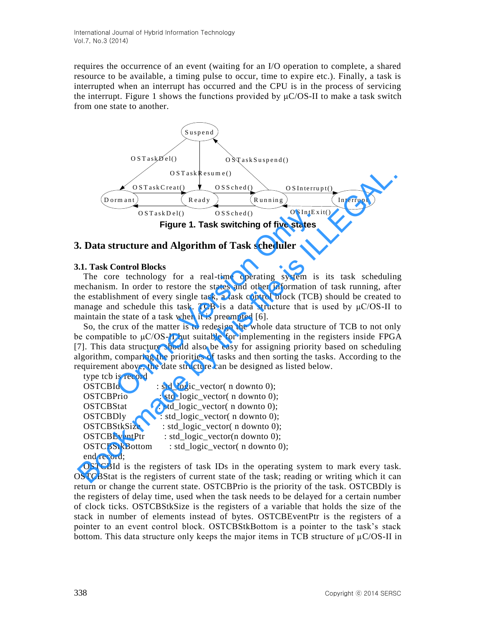requires the occurrence of an event (waiting for an I/O operation to complete, a shared resource to be available, a timing pulse to occur, time to expire etc.). Finally, a task is interrupted when an interrupt has occurred and the CPU is in the process of servicing the interrupt. [Figure 1](#page-1-0) shows the functions provided by μC/OS-II to make a task switch from one state to another.



# **3. Data structure and Algorithm of Task scheduler**

# **3.1. Task Control Blocks**

The core technology for a real-time operating system is its task scheduling mechanism. In order to restore the states and other information of task running, after the establishment of every single task, a task control block (TCB) should be created to manage and schedule this task. TCB is a data structure that is used by  $\mu$ C/OS-II to maintain the state of a task when it is preempted [6].

<span id="page-1-0"></span>So, the crux of the matter is to redesign the whole data structure of TCB to not only be compatible to  $\mu$ C/OS-II but suitable for implementing in the registers inside FPGA [7]. This data structure should also be easy for assigning priority based on scheduling algorithm, comparing the priorities of tasks and then sorting the tasks. According to the requirement above, the date structure can be designed as listed below. OSTaskDel() OSSched() OSSched() OSIntEx<br>
Figure 1. Task switching of five states<br>
Tucture and Algorithm of Task scheduler<br>
Control Blocks<br>
ce technology for a real-time operating system is<br>
i. In order to restore the stat

| type tcb is record   |                                  |
|----------------------|----------------------------------|
| OSTCBId              | : std_logic_vector( n downto 0); |
| <b>OSTCBPrio</b>     | : std_logic_vector( n downto 0); |
| <b>OSTCBStat</b>     | : std_logic_vector( n downto 0); |
| <b>OSTCBDly</b>      | : std_logic_vector( n downto 0); |
| OSTCBStkSize         | : std_logic_vector( n downto 0); |
| <b>OSTCBEventPtr</b> | : std_logic_vector(n downto 0);  |
| OSTCBStkBottom       | : std_logic_vector( n downto 0); |
| end record;          |                                  |

OSTCBId is the registers of task IDs in the operating system to mark every task. OSTCBStat is the registers of current state of the task; reading or writing which it can return or change the current state. OSTCBPrio is the priority of the task. OSTCBDly is the registers of delay time, used when the task needs to be delayed for a certain number of clock ticks. OSTCBStkSize is the registers of a variable that holds the size of the stack in number of elements instead of bytes. OSTCBEventPtr is the registers of a pointer to an event control block. OSTCBStkBottom is a pointer to the task's stack bottom. This data structure only keeps the major items in TCB structure of  $\mu$ C/OS-II in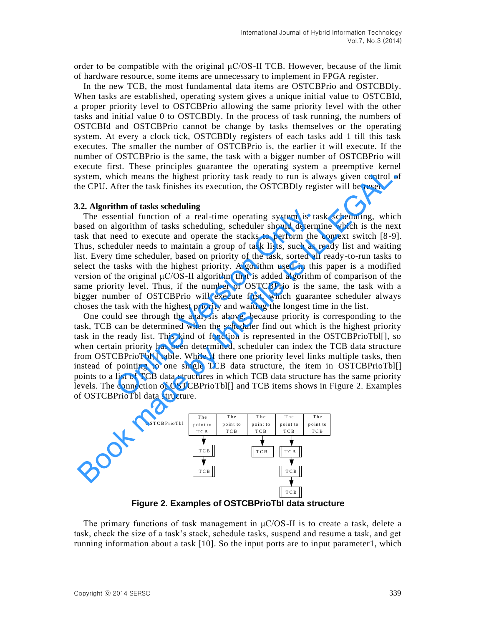order to be compatible with the original μC/OS-II TCB. However, because of the limit of hardware resource, some items are unnecessary to implement in FPGA register.

In the new TCB, the most fundamental data items are OSTCBPrio and OSTCBDly. When tasks are established, operating system gives a unique initial value to OSTCBId, a proper priority level to OSTCBPrio allowing the same priority level with the other tasks and initial value 0 to OSTCBDly. In the process of task running, the numbers of OSTCBId and OSTCBPrio cannot be change by tasks themselves or the operating system. At every a clock tick, OSTCBDly registers of each tasks add 1 till this task executes. The smaller the number of OSTCBPrio is, the earlier it will execute. If the number of OSTCBPrio is the same, the task with a bigger number of OSTCBPrio will execute first. These principles guarantee the operating system a preemptive kernel system, which means the highest priority task ready to run is always given control of the CPU. After the task finishes its execution, the OSTCBDly register will be reset.

#### **3.2. Algorithm of tasks scheduling**

The essential function of a real-time operating system is task scheduling, which based on algorithm of tasks scheduling, scheduler should determine which is the next task that need to execute and operate the stacks to perform the context switch [8-9]. Thus, scheduler needs to maintain a group of task lists, such as ready list and waiting list. Every time scheduler, based on priority of the task, sorted all ready-to-run tasks to select the tasks with the highest priority. Algorithm used in this paper is a modified version of the original μC/OS-II algorithm that is added algorithm of comparison of the same priority level. Thus, if the number of OSTCBPrio is the same, the task with a bigger number of OSTCBPrio will execute first, which guarantee scheduler always choses the task with the highest priority and waiting the longest time in the list. musical function of a real-time operating system is ta:<br>ential function of a real-time operating system is ta:<br>Igorithm of tasks scheduling, scheduler should determ<br>eed to execute and operate the stacks to perform the<br>dul Some in the promptos galantic we velociting system and processes the state of the this file is the processes the section, the OSTCBDY register will be reset.<br>
Section, which means the highest priority task ready to run is

One could see through the analysis above, because priority is corresponding to the task, TCB can be determined when the scheduler find out which is the highest priority task in the ready list. This kind of function is represented in the OSTCBPrioTbl[], so when certain priority has been determined, scheduler can index the TCB data structure from OSTCBPrioTbl[] table. While if there one priority level links multiple tasks, then instead of pointing to one single TCB data structure, the item in OSTCBPrioTbl[] points to a list of TCB data structures in which TCB data structure has the same priority levels. The connection of OSTCBPrioTbl[] and TCB items shows in Figure 2. Examples of OSTCBPrioTbl data structure.



**Figure 2. Examples of OSTCBPrioTbl data structure** 

The primary functions of task management in  $\mu$ C/OS-II is to create a task, delete a task, check the size of a task's stack, schedule tasks, suspend and resume a task, and get running information about a task [10]. So the input ports are to input parameter1, which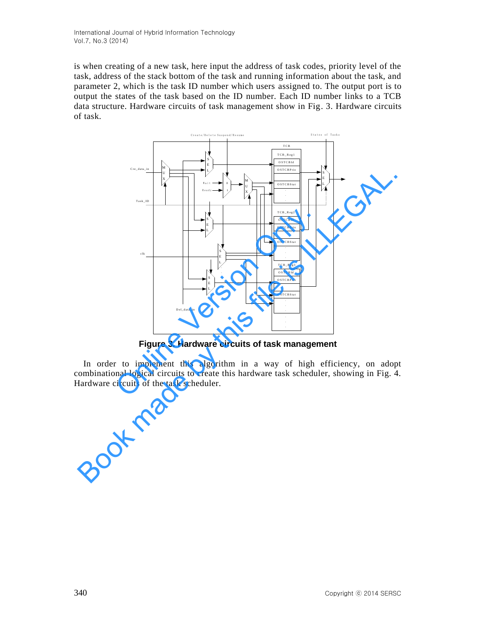International Journal of Hybrid Information Technology Vol.7, No.3 (2014)

is when creating of a new task, here input the address of task codes, priority level of the task, address of the stack bottom of the task and running information about the task, and parameter 2, which is the task ID number which users assigned to. The output port is to output the states of the task based on the ID number. Each ID number links to a TCB data structure. Hardware circuits of task management show in Fig. 3. Hardware circuits of task.



**Figure 3. Hardware circuits of task management** 

In order to implement this algorithm in a way of high efficiency, on adopt combinational logical circuits to create this hardware task scheduler, showing in Fig. 4. Hardware circuits of the task scheduler.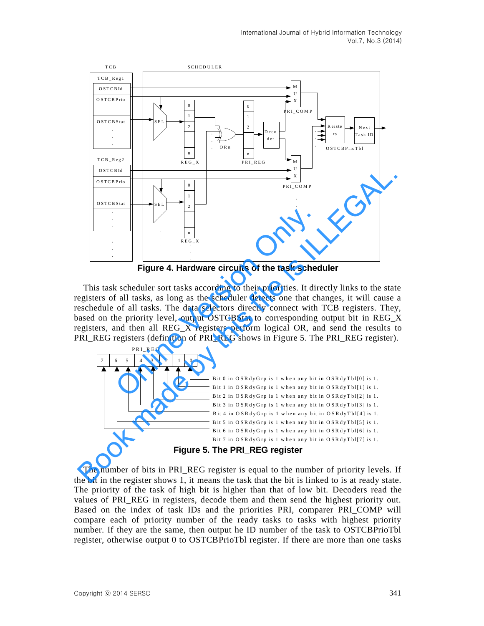

**Figure 4. Hardware circuits of the task scheduler**

This task scheduler sort tasks according to their priorities. It directly links to the state registers of all tasks, as long as the scheduler detects one that changes, it will cause a reschedule of all tasks. The data selectors directly connect with TCB registers. They, based on the priority level, output OSTCBStat to corresponding output bit in REG\_X registers, and then all REG\_X registers perform logical OR, and send the results to PRI\_REG registers (definition of PRI\_REG shows in Figure 5. The PRI\_REG register). **Example 12**<br> **Eigure 4. Hardware circuits of the task schec**<br> **Eigure 4. Hardware circuits of the task schec**<br>
c scheduler sort tasks according to their priorities. It direct<br>
of all tasks, as long as the scheduler detec



**Figure 5. The PRI\_REG register** 

The number of bits in PRI\_REG register is equal to the number of priority levels. If the bit in the register shows 1, it means the task that the bit is linked to is at ready state. The priority of the task of high bit is higher than that of low bit. Decoders read the values of PRI\_REG in registers, decode them and them send the highest priority out. Based on the index of task IDs and the priorities PRI, comparer PRI\_COMP will compare each of priority number of the ready tasks to tasks with highest priority number. If they are the same, then output he ID number of the task to OSTCBPrioTbl register, otherwise output 0 to OSTCBPrioTbl register. If there are more than one tasks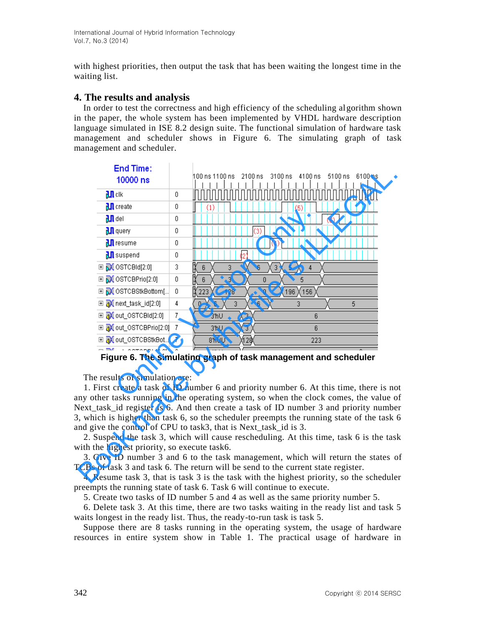with highest priorities, then output the task that has been waiting the longest time in the waiting list.

# **4. The results and analysis**

In order to test the correctness and high efficiency of the scheduling algorithm shown in the paper, the whole system has been implemented by VHDL hardware description language simulated in ISE 8.2 design suite. The functional simulation of hardware task management and scheduler shows in Figure 6. The simulating graph of task management and scheduler.

| End Time:<br>10000 ns                                                                                                                                                                                |   | 100 ns 1100 ns<br>00 ns | 3100 ns<br>4100 ns<br>5100 ns<br>6100 ns                                                                                                                                                                                                                                                                                                                                                                                                                                                                                                                                                                                                     |  |
|------------------------------------------------------------------------------------------------------------------------------------------------------------------------------------------------------|---|-------------------------|----------------------------------------------------------------------------------------------------------------------------------------------------------------------------------------------------------------------------------------------------------------------------------------------------------------------------------------------------------------------------------------------------------------------------------------------------------------------------------------------------------------------------------------------------------------------------------------------------------------------------------------------|--|
| $\mathbf{H}$ clk                                                                                                                                                                                     | 0 |                         |                                                                                                                                                                                                                                                                                                                                                                                                                                                                                                                                                                                                                                              |  |
| $\mathbf{J}$ create                                                                                                                                                                                  | 0 | (1)                     | (5)                                                                                                                                                                                                                                                                                                                                                                                                                                                                                                                                                                                                                                          |  |
| $\mathbf{M}$ del                                                                                                                                                                                     | 0 |                         | (6)                                                                                                                                                                                                                                                                                                                                                                                                                                                                                                                                                                                                                                          |  |
| $\mathbf{M}$ query                                                                                                                                                                                   | 0 | $\circ$                 |                                                                                                                                                                                                                                                                                                                                                                                                                                                                                                                                                                                                                                              |  |
| <b>M</b> resume                                                                                                                                                                                      | 0 | $\left( 4\right)$       |                                                                                                                                                                                                                                                                                                                                                                                                                                                                                                                                                                                                                                              |  |
| $\mathbf{M}$ suspend                                                                                                                                                                                 | 0 |                         |                                                                                                                                                                                                                                                                                                                                                                                                                                                                                                                                                                                                                                              |  |
| $\boxplus \overline{\textsf{pM}}$ OSTCBId[2:0]                                                                                                                                                       | 3 | 3<br>6<br>6<br>3        | 5<br>4                                                                                                                                                                                                                                                                                                                                                                                                                                                                                                                                                                                                                                       |  |
| $\boxplus \overline{\bigwedge}$ OSTCBPrio[2:0]                                                                                                                                                       | 0 | 3<br>0<br>ჩ             | 5                                                                                                                                                                                                                                                                                                                                                                                                                                                                                                                                                                                                                                            |  |
| <b>EI M</b> OSTCBStkBottom[                                                                                                                                                                          | 0 | 128<br>Ō<br>223         | 196 X 156                                                                                                                                                                                                                                                                                                                                                                                                                                                                                                                                                                                                                                    |  |
| $\boxplus \overline{\mathbf{Q}}$ next_task_id[2:0]                                                                                                                                                   | 4 | 3<br>6<br>6             | 3<br>5                                                                                                                                                                                                                                                                                                                                                                                                                                                                                                                                                                                                                                       |  |
| <b>EI</b> Mout_OSTCBId[2:0]                                                                                                                                                                          | 7 | 3'hU                    | 6                                                                                                                                                                                                                                                                                                                                                                                                                                                                                                                                                                                                                                            |  |
| <b>⊞ @</b> out_OSTCBPrio[2:0]                                                                                                                                                                        | 7 | 3'hU                    | 6                                                                                                                                                                                                                                                                                                                                                                                                                                                                                                                                                                                                                                            |  |
| <b>⊞ A</b> out_OSTCBStkBot                                                                                                                                                                           | 7 | 8'hUU<br>1280           | 223                                                                                                                                                                                                                                                                                                                                                                                                                                                                                                                                                                                                                                          |  |
| The results of simulation are:                                                                                                                                                                       |   |                         | Figure 6. The simulating graph of task management and scheduler                                                                                                                                                                                                                                                                                                                                                                                                                                                                                                                                                                              |  |
| and give the control of CPU to task3, that is Next_task_id is 3.<br>with the highest priority, so execute task6.<br>CBs of task 3 and task 6. The return will be send to the current state register. |   |                         | 1. First create a task of ID number 6 and priority number 6. At this time, there is no<br>iny other tasks running in the operating system, so when the clock comes, the value of<br>Next_task_id register is 6. And then create a task of ID number 3 and priority numbe<br>, which is higher than task 6, so the scheduler preempts the running state of the task<br>2. Suspend the task 3, which will cause rescheduling. At this time, task 6 is the tasl<br>3. Give ID number 3 and 6 to the task management, which will return the states of<br>4. Resume task 3, that is task 3 is the task with the highest priority, so the schedule |  |

**Figure 6. The simulating graph of task management and scheduler** 

4. Resume task 3, that is task 3 is the task with the highest priority, so the scheduler preempts the running state of task 6. Task 6 will continue to execute.

5. Create two tasks of ID number 5 and 4 as well as the same priority number 5.

6. Delete task 3. At this time, there are two tasks waiting in the ready list and task 5 waits longest in the ready list. Thus, the ready-to-run task is task 5.

Suppose there are 8 tasks running in the operating system, the usage of hardware resources in entire system show in Table 1. The practical usage of hardware in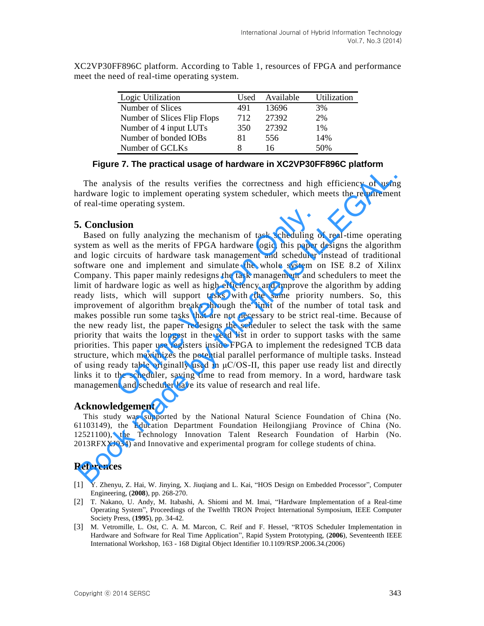| Logic Utilization           | Used | Available | Utilization |
|-----------------------------|------|-----------|-------------|
| Number of Slices            | 491  | 13696     | 3%          |
| Number of Slices Flip Flops | 712  | 27392     | 2%          |
| Number of 4 input LUTs      | 350  | 27392     | 1%          |
| Number of bonded IOBs       | 81   | 556       | 14%         |
| Number of GCLKs             | x    | 16        | 50%         |

XC2VP30FF896C platform. According to Table 1, resources of FPGA and performance meet the need of real-time operating system.

# **Figure 7. The practical usage of hardware in XC2VP30FF896C platform**

The analysis of the results verifies the correctness and high efficiency of using hardware logic to implement operating system scheduler, which meets the requirement of real-time operating system.

# **5. Conclusion**

Based on fully analyzing the mechanism of task scheduling of real-time operating system as well as the merits of FPGA hardware logic, this paper designs the algorithm and logic circuits of hardware task management and scheduler instead of traditional software one and implement and simulate the whole system on ISE 8.2 of Xilinx Company. This paper mainly redesigns the task management and schedulers to meet the limit of hardware logic as well as high efficiency and improve the algorithm by adding ready lists, which will support tasks with the same priority numbers. So, this improvement of algorithm breaks through the limit of the number of total task and makes possible run some tasks that are not necessary to be strict real-time. Because of the new ready list, the paper redesigns the scheduler to select the task with the same priority that waits the longest in the read list in order to support tasks with the same priorities. This paper use registers inside FPGA to implement the redesigned TCB data structure, which maximizes the potential parallel performance of multiple tasks. Instead of using ready table originally used in  $\mu$ C/OS-II, this paper use ready list and directly links it to the scheduler, saving time to read from memory. In a word, hardware task management and scheduler have its value of research and real life. **sion**<br> **sion**<br> **on** fully analyzing the mechanism of task scheduling c<br>
well as the merits of FPGA hardware logic, this paper<br>
circuits of hardware task management and scheduler<br>
ne and implement and simulate the whole s The analysis of the results verifies the correctness and high efficiency of usin<br>aredware logic to implement operating system scheduler, which meets the requirement<br>freal-time operating system.<br> **5. Conclusion**<br> **5. Conclu** 

### **Acknowledgement**

This study was supported by the National Natural Science Foundation of China (No. 61103149), the Education Department Foundation Heilongjiang Province of China (No. 12521100), the Technology Innovation Talent Research Foundation of Harbin (No. 2013RFXXJ034) and Innovative and experimental program for college students of china.

# **References**

- [1] Y. Zhenyu, Z. Hai, W. Jinying, X. Jiuqiang and L. Kai, "HOS Design on Embedded Processor", Computer Engineering, (**2008**), pp. 268-270.
- [2] T. Nakano, U. Andy, M. Itabashi, A. Shiomi and M. Imai, "Hardware Implementation of a Real-time Operating System", Proceedings of the Twelfth TRON Project International Symposium, IEEE Computer Society Press, (**1995**), pp. 34-42.
- [3] M. Vetromille, L. Ost, C. A. M. Marcon, C. Reif and F. Hessel, "RTOS Scheduler Implementation in Hardware and Software for Real Time Application", Rapid System Prototyping, (**2006**), Seventeenth IEEE International Workshop, 163 - 168 Digital Object Identifier 10.1109/RSP.2006.34.(2006)